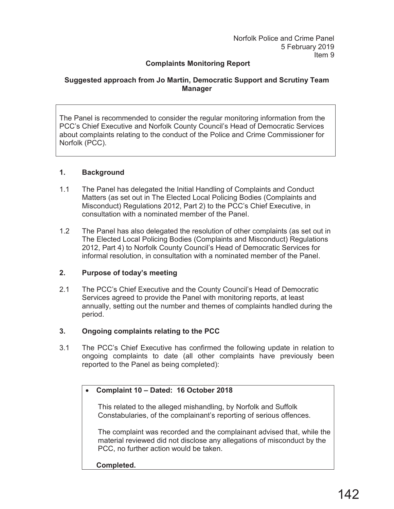## **Complaints Monitoring Report**

## **Suggested approach from Jo Martin, Democratic Support and Scrutiny Team Manager**

The Panel is recommended to consider the regular monitoring information from the PCC's Chief Executive and Norfolk County Council's Head of Democratic Services about complaints relating to the conduct of the Police and Crime Commissioner for Norfolk (PCC).

## **1. Background**

- 1.1 The Panel has delegated the Initial Handling of Complaints and Conduct Matters (as set out in The Elected Local Policing Bodies (Complaints and Misconduct) Regulations 2012, Part 2) to the PCC's Chief Executive, in consultation with a nominated member of the Panel.
- 1.2 The Panel has also delegated the resolution of other complaints (as set out in The Elected Local Policing Bodies (Complaints and Misconduct) Regulations 2012, Part 4) to Norfolk County Council's Head of Democratic Services for informal resolution, in consultation with a nominated member of the Panel.

## **2.** Purpose of today's meeting

2.1 The PCC's Chief Executive and the County Council's Head of Democratic Services agreed to provide the Panel with monitoring reports, at least annually, setting out the number and themes of complaints handled during the period.

# **3. Ongoing complaints relating to the PCC**

3.1 The PCC's Chief Executive has confirmed the following update in relation to ongoing complaints to date (all other complaints have previously been reported to the Panel as being completed):

# x **Complaint 10 ± Dated: 16 October 2018**

This related to the alleged mishandling, by Norfolk and Suffolk Constabularies, of the complainant's reporting of serious offences.

The complaint was recorded and the complainant advised that, while the material reviewed did not disclose any allegations of misconduct by the PCC, no further action would be taken.

**Completed.**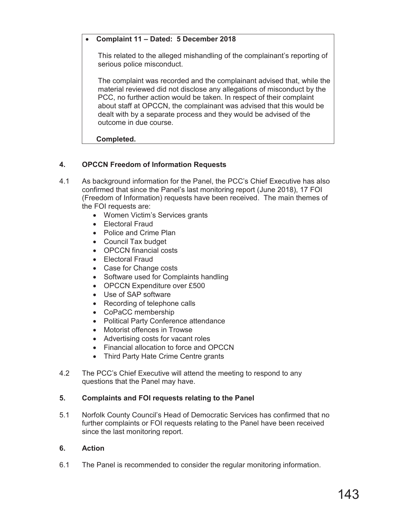## x **Complaint 11 ± Dated: 5 December 2018**

This related to the alleged mishandling of the complainant's reporting of serious police misconduct.

The complaint was recorded and the complainant advised that, while the material reviewed did not disclose any allegations of misconduct by the PCC, no further action would be taken. In respect of their complaint about staff at OPCCN, the complainant was advised that this would be dealt with by a separate process and they would be advised of the outcome in due course.

#### **Completed.**

## **4. OPCCN Freedom of Information Requests**

- 4.1 As background information for the Panel, the PCC's Chief Executive has also confirmed that since the Panel's last monitoring report (June 2018), 17 FOI (Freedom of Information) requests have been received. The main themes of the FOI requests are:
	- Women Victim's Services grants
	- Electoral Fraud
	- Police and Crime Plan
	- Council Tax budget
	- OPCCN financial costs
	- **Electoral Fraud**
	- Case for Change costs
	- Software used for Complaints handling
	- OPCCN Expenditure over £500
	- Use of SAP software
	- Recording of telephone calls
	- CoPaCC membership
	- Political Party Conference attendance
	- Motorist offences in Trowse
	- Advertising costs for vacant roles
	- Financial allocation to force and OPCCN
	- Third Party Hate Crime Centre grants
- 4.2 The PCC's Chief Executive will attend the meeting to respond to any questions that the Panel may have.

#### **5. Complaints and FOI requests relating to the Panel**

5.1 Norfolk County Council's Head of Democratic Services has confirmed that no further complaints or FOI requests relating to the Panel have been received since the last monitoring report.

#### **6. Action**

6.1 The Panel is recommended to consider the regular monitoring information.